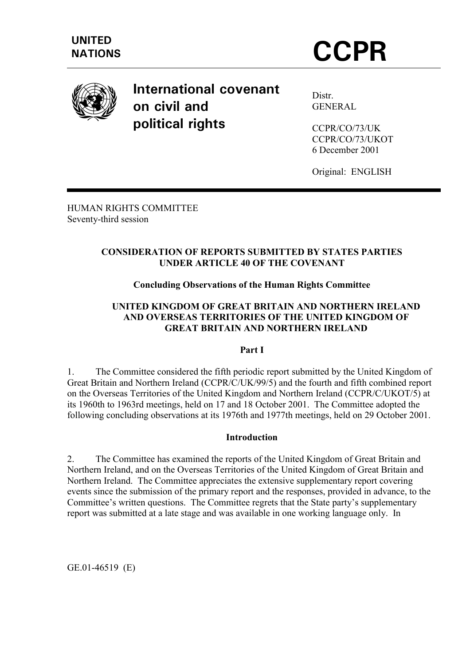

**International covenant on civil and political rights** 

Distr. **GENERAL** 

CCPR/CO/73/UK CCPR/CO/73/UKOT 6 December 2001

Original: ENGLISH

HUMAN RIGHTS COMMITTEE Seventy-third session

# **CONSIDERATION OF REPORTS SUBMITTED BY STATES PARTIES UNDER ARTICLE 40 OF THE COVENANT**

# **Concluding Observations of the Human Rights Committee**

# **UNITED KINGDOM OF GREAT BRITAIN AND NORTHERN IRELAND AND OVERSEAS TERRITORIES OF THE UNITED KINGDOM OF GREAT BRITAIN AND NORTHERN IRELAND**

# **Part I**

1. The Committee considered the fifth periodic report submitted by the United Kingdom of Great Britain and Northern Ireland (CCPR/C/UK/99/5) and the fourth and fifth combined report on the Overseas Territories of the United Kingdom and Northern Ireland (CCPR/C/UKOT/5) at its 1960th to 1963rd meetings, held on 17 and 18 October 2001. The Committee adopted the following concluding observations at its 1976th and 1977th meetings, held on 29 October 2001.

# **Introduction**

2. The Committee has examined the reports of the United Kingdom of Great Britain and Northern Ireland, and on the Overseas Territories of the United Kingdom of Great Britain and Northern Ireland. The Committee appreciates the extensive supplementary report covering events since the submission of the primary report and the responses, provided in advance, to the Committee's written questions. The Committee regrets that the State party's supplementary report was submitted at a late stage and was available in one working language only. In

GE.01-46519 (E)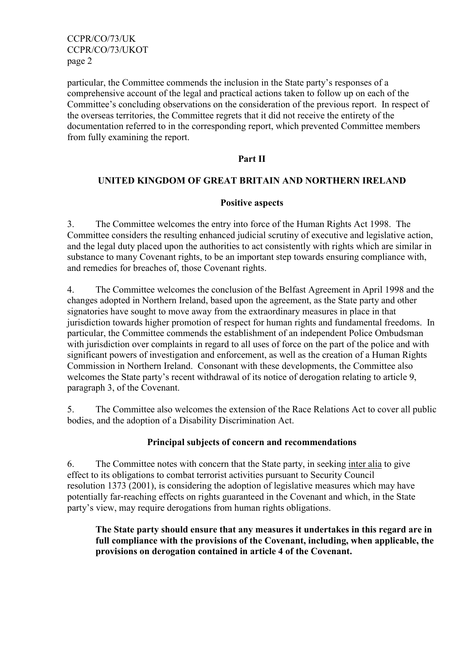CCPR/CO/73/UK CCPR/CO/73/UKOT page 2

particular, the Committee commends the inclusion in the State party's responses of a comprehensive account of the legal and practical actions taken to follow up on each of the Committee's concluding observations on the consideration of the previous report. In respect of the overseas territories, the Committee regrets that it did not receive the entirety of the documentation referred to in the corresponding report, which prevented Committee members from fully examining the report.

#### **Part II**

# **UNITED KINGDOM OF GREAT BRITAIN AND NORTHERN IRELAND**

#### **Positive aspects**

3. The Committee welcomes the entry into force of the Human Rights Act 1998. The Committee considers the resulting enhanced judicial scrutiny of executive and legislative action, and the legal duty placed upon the authorities to act consistently with rights which are similar in substance to many Covenant rights, to be an important step towards ensuring compliance with, and remedies for breaches of, those Covenant rights.

4. The Committee welcomes the conclusion of the Belfast Agreement in April 1998 and the changes adopted in Northern Ireland, based upon the agreement, as the State party and other signatories have sought to move away from the extraordinary measures in place in that jurisdiction towards higher promotion of respect for human rights and fundamental freedoms. In particular, the Committee commends the establishment of an independent Police Ombudsman with jurisdiction over complaints in regard to all uses of force on the part of the police and with significant powers of investigation and enforcement, as well as the creation of a Human Rights Commission in Northern Ireland. Consonant with these developments, the Committee also welcomes the State party's recent withdrawal of its notice of derogation relating to article 9, paragraph 3, of the Covenant.

5. The Committee also welcomes the extension of the Race Relations Act to cover all public bodies, and the adoption of a Disability Discrimination Act.

#### **Principal subjects of concern and recommendations**

6. The Committee notes with concern that the State party, in seeking inter alia to give effect to its obligations to combat terrorist activities pursuant to Security Council resolution 1373 (2001), is considering the adoption of legislative measures which may have potentially far-reaching effects on rights guaranteed in the Covenant and which, in the State party's view, may require derogations from human rights obligations.

**The State party should ensure that any measures it undertakes in this regard are in full compliance with the provisions of the Covenant, including, when applicable, the provisions on derogation contained in article 4 of the Covenant.**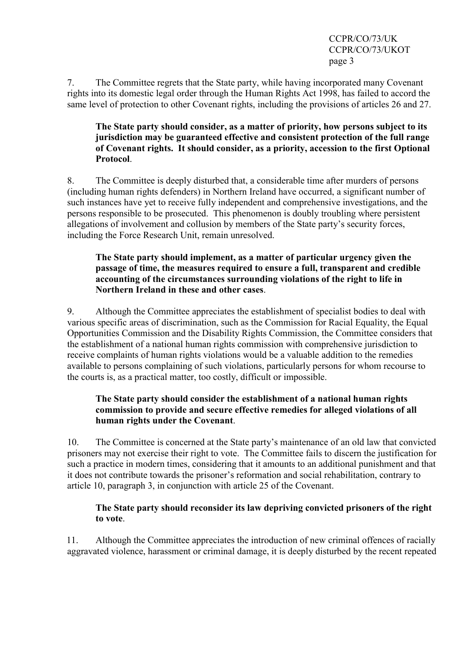CCPR/CO/73/UK CCPR/CO/73/UKOT page 3

7. The Committee regrets that the State party, while having incorporated many Covenant rights into its domestic legal order through the Human Rights Act 1998, has failed to accord the same level of protection to other Covenant rights, including the provisions of articles 26 and 27.

# **The State party should consider, as a matter of priority, how persons subject to its jurisdiction may be guaranteed effective and consistent protection of the full range of Covenant rights. It should consider, as a priority, accession to the first Optional Protocol**.

8. The Committee is deeply disturbed that, a considerable time after murders of persons (including human rights defenders) in Northern Ireland have occurred, a significant number of such instances have yet to receive fully independent and comprehensive investigations, and the persons responsible to be prosecuted. This phenomenon is doubly troubling where persistent allegations of involvement and collusion by members of the State party's security forces, including the Force Research Unit, remain unresolved.

#### **The State party should implement, as a matter of particular urgency given the passage of time, the measures required to ensure a full, transparent and credible accounting of the circumstances surrounding violations of the right to life in Northern Ireland in these and other cases**.

9. Although the Committee appreciates the establishment of specialist bodies to deal with various specific areas of discrimination, such as the Commission for Racial Equality, the Equal Opportunities Commission and the Disability Rights Commission, the Committee considers that the establishment of a national human rights commission with comprehensive jurisdiction to receive complaints of human rights violations would be a valuable addition to the remedies available to persons complaining of such violations, particularly persons for whom recourse to the courts is, as a practical matter, too costly, difficult or impossible.

#### **The State party should consider the establishment of a national human rights commission to provide and secure effective remedies for alleged violations of all human rights under the Covenant**.

10. The Committee is concerned at the State party's maintenance of an old law that convicted prisoners may not exercise their right to vote. The Committee fails to discern the justification for such a practice in modern times, considering that it amounts to an additional punishment and that it does not contribute towards the prisoner's reformation and social rehabilitation, contrary to article 10, paragraph 3, in conjunction with article 25 of the Covenant.

# **The State party should reconsider its law depriving convicted prisoners of the right to vote**.

11. Although the Committee appreciates the introduction of new criminal offences of racially aggravated violence, harassment or criminal damage, it is deeply disturbed by the recent repeated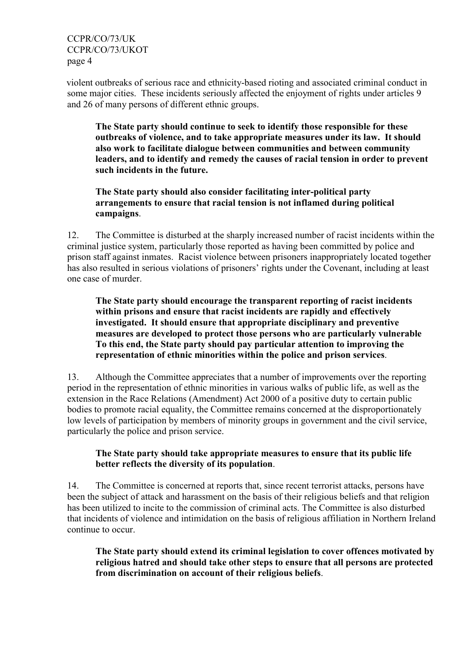CCPR/CO/73/UK CCPR/CO/73/UKOT page 4

violent outbreaks of serious race and ethnicity-based rioting and associated criminal conduct in some major cities. These incidents seriously affected the enjoyment of rights under articles 9 and 26 of many persons of different ethnic groups.

**The State party should continue to seek to identify those responsible for these outbreaks of violence, and to take appropriate measures under its law. It should also work to facilitate dialogue between communities and between community leaders, and to identify and remedy the causes of racial tension in order to prevent such incidents in the future.** 

**The State party should also consider facilitating inter-political party arrangements to ensure that racial tension is not inflamed during political campaigns**.

12. The Committee is disturbed at the sharply increased number of racist incidents within the criminal justice system, particularly those reported as having been committed by police and prison staff against inmates. Racist violence between prisoners inappropriately located together has also resulted in serious violations of prisoners' rights under the Covenant, including at least one case of murder.

**The State party should encourage the transparent reporting of racist incidents within prisons and ensure that racist incidents are rapidly and effectively investigated. It should ensure that appropriate disciplinary and preventive measures are developed to protect those persons who are particularly vulnerable To this end, the State party should pay particular attention to improving the representation of ethnic minorities within the police and prison services**.

13. Although the Committee appreciates that a number of improvements over the reporting period in the representation of ethnic minorities in various walks of public life, as well as the extension in the Race Relations (Amendment) Act 2000 of a positive duty to certain public bodies to promote racial equality, the Committee remains concerned at the disproportionately low levels of participation by members of minority groups in government and the civil service, particularly the police and prison service.

# **The State party should take appropriate measures to ensure that its public life better reflects the diversity of its population**.

14. The Committee is concerned at reports that, since recent terrorist attacks, persons have been the subject of attack and harassment on the basis of their religious beliefs and that religion has been utilized to incite to the commission of criminal acts. The Committee is also disturbed that incidents of violence and intimidation on the basis of religious affiliation in Northern Ireland continue to occur.

**The State party should extend its criminal legislation to cover offences motivated by religious hatred and should take other steps to ensure that all persons are protected from discrimination on account of their religious beliefs**.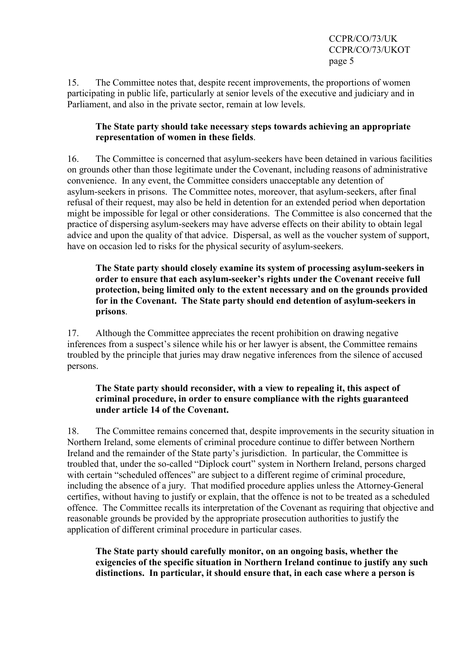CCPR/CO/73/UK CCPR/CO/73/UKOT page 5

15. The Committee notes that, despite recent improvements, the proportions of women participating in public life, particularly at senior levels of the executive and judiciary and in Parliament, and also in the private sector, remain at low levels.

# **The State party should take necessary steps towards achieving an appropriate representation of women in these fields**.

16. The Committee is concerned that asylum-seekers have been detained in various facilities on grounds other than those legitimate under the Covenant, including reasons of administrative convenience. In any event, the Committee considers unacceptable any detention of asylum-seekers in prisons. The Committee notes, moreover, that asylum-seekers, after final refusal of their request, may also be held in detention for an extended period when deportation might be impossible for legal or other considerations. The Committee is also concerned that the practice of dispersing asylum-seekers may have adverse effects on their ability to obtain legal advice and upon the quality of that advice. Dispersal, as well as the voucher system of support, have on occasion led to risks for the physical security of asylum-seekers.

**The State party should closely examine its system of processing asylum-seekers in order to ensure that each asylum-seeker's rights under the Covenant receive full protection, being limited only to the extent necessary and on the grounds provided for in the Covenant. The State party should end detention of asylum-seekers in prisons**.

17. Although the Committee appreciates the recent prohibition on drawing negative inferences from a suspect's silence while his or her lawyer is absent, the Committee remains troubled by the principle that juries may draw negative inferences from the silence of accused persons.

# **The State party should reconsider, with a view to repealing it, this aspect of criminal procedure, in order to ensure compliance with the rights guaranteed under article 14 of the Covenant.**

18. The Committee remains concerned that, despite improvements in the security situation in Northern Ireland, some elements of criminal procedure continue to differ between Northern Ireland and the remainder of the State party's jurisdiction. In particular, the Committee is troubled that, under the so-called "Diplock court" system in Northern Ireland, persons charged with certain "scheduled offences" are subject to a different regime of criminal procedure, including the absence of a jury. That modified procedure applies unless the Attorney-General certifies, without having to justify or explain, that the offence is not to be treated as a scheduled offence. The Committee recalls its interpretation of the Covenant as requiring that objective and reasonable grounds be provided by the appropriate prosecution authorities to justify the application of different criminal procedure in particular cases.

**The State party should carefully monitor, on an ongoing basis, whether the exigencies of the specific situation in Northern Ireland continue to justify any such distinctions. In particular, it should ensure that, in each case where a person is**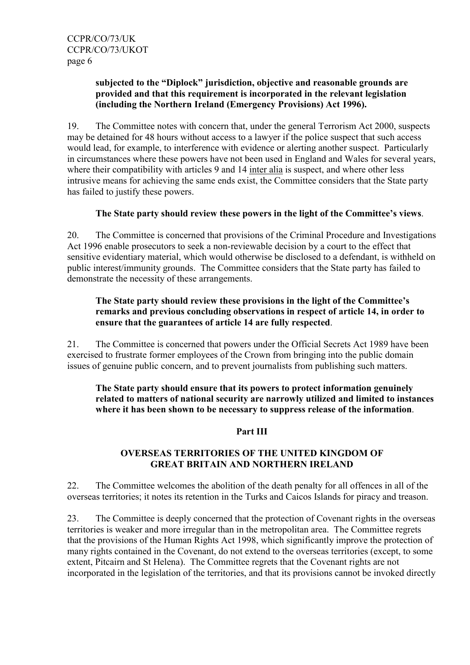# **subjected to the "Diplock" jurisdiction, objective and reasonable grounds are provided and that this requirement is incorporated in the relevant legislation (including the Northern Ireland (Emergency Provisions) Act 1996).**

19. The Committee notes with concern that, under the general Terrorism Act 2000, suspects may be detained for 48 hours without access to a lawyer if the police suspect that such access would lead, for example, to interference with evidence or alerting another suspect. Particularly in circumstances where these powers have not been used in England and Wales for several years, where their compatibility with articles 9 and 14 inter alia is suspect, and where other less intrusive means for achieving the same ends exist, the Committee considers that the State party has failed to justify these powers.

# **The State party should review these powers in the light of the Committee's views**.

20. The Committee is concerned that provisions of the Criminal Procedure and Investigations Act 1996 enable prosecutors to seek a non-reviewable decision by a court to the effect that sensitive evidentiary material, which would otherwise be disclosed to a defendant, is withheld on public interest/immunity grounds. The Committee considers that the State party has failed to demonstrate the necessity of these arrangements.

# **The State party should review these provisions in the light of the Committee's remarks and previous concluding observations in respect of article 14, in order to ensure that the guarantees of article 14 are fully respected**.

21. The Committee is concerned that powers under the Official Secrets Act 1989 have been exercised to frustrate former employees of the Crown from bringing into the public domain issues of genuine public concern, and to prevent journalists from publishing such matters.

**The State party should ensure that its powers to protect information genuinely related to matters of national security are narrowly utilized and limited to instances where it has been shown to be necessary to suppress release of the information**.

#### **Part III**

# **OVERSEAS TERRITORIES OF THE UNITED KINGDOM OF GREAT BRITAIN AND NORTHERN IRELAND**

22. The Committee welcomes the abolition of the death penalty for all offences in all of the overseas territories; it notes its retention in the Turks and Caicos Islands for piracy and treason.

23. The Committee is deeply concerned that the protection of Covenant rights in the overseas territories is weaker and more irregular than in the metropolitan area. The Committee regrets that the provisions of the Human Rights Act 1998, which significantly improve the protection of many rights contained in the Covenant, do not extend to the overseas territories (except, to some extent, Pitcairn and St Helena). The Committee regrets that the Covenant rights are not incorporated in the legislation of the territories, and that its provisions cannot be invoked directly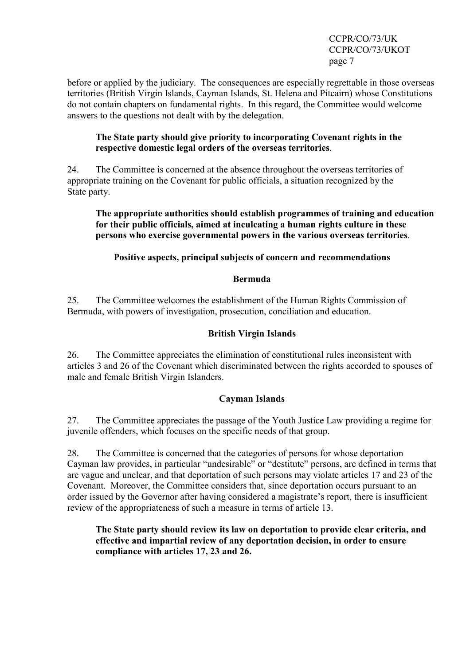CCPR/CO/73/UK CCPR/CO/73/UKOT page 7

before or applied by the judiciary. The consequences are especially regrettable in those overseas territories (British Virgin Islands, Cayman Islands, St. Helena and Pitcairn) whose Constitutions do not contain chapters on fundamental rights. In this regard, the Committee would welcome answers to the questions not dealt with by the delegation.

#### **The State party should give priority to incorporating Covenant rights in the respective domestic legal orders of the overseas territories**.

24. The Committee is concerned at the absence throughout the overseas territories of appropriate training on the Covenant for public officials, a situation recognized by the State party.

#### **The appropriate authorities should establish programmes of training and education for their public officials, aimed at inculcating a human rights culture in these persons who exercise governmental powers in the various overseas territories**.

# **Positive aspects, principal subjects of concern and recommendations**

# **Bermuda**

25. The Committee welcomes the establishment of the Human Rights Commission of Bermuda, with powers of investigation, prosecution, conciliation and education.

#### **British Virgin Islands**

26. The Committee appreciates the elimination of constitutional rules inconsistent with articles 3 and 26 of the Covenant which discriminated between the rights accorded to spouses of male and female British Virgin Islanders.

# **Cayman Islands**

27. The Committee appreciates the passage of the Youth Justice Law providing a regime for juvenile offenders, which focuses on the specific needs of that group.

28. The Committee is concerned that the categories of persons for whose deportation Cayman law provides, in particular "undesirable" or "destitute" persons, are defined in terms that are vague and unclear, and that deportation of such persons may violate articles 17 and 23 of the Covenant. Moreover, the Committee considers that, since deportation occurs pursuant to an order issued by the Governor after having considered a magistrate's report, there is insufficient review of the appropriateness of such a measure in terms of article 13.

**The State party should review its law on deportation to provide clear criteria, and effective and impartial review of any deportation decision, in order to ensure compliance with articles 17, 23 and 26.**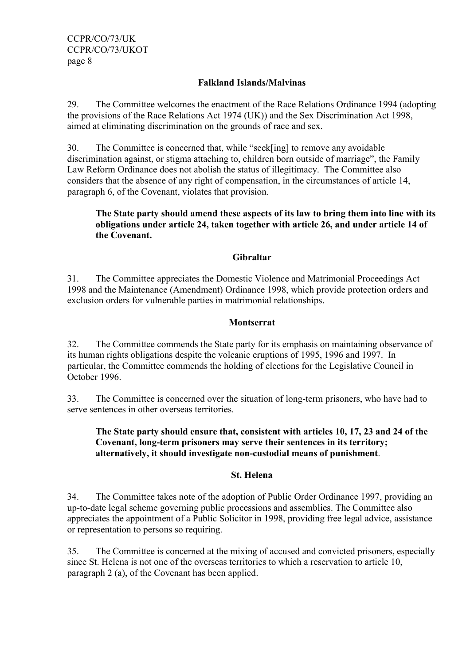#### **Falkland Islands/Malvinas**

29. The Committee welcomes the enactment of the Race Relations Ordinance 1994 (adopting the provisions of the Race Relations Act 1974 (UK)) and the Sex Discrimination Act 1998, aimed at eliminating discrimination on the grounds of race and sex.

30. The Committee is concerned that, while "seek[ing] to remove any avoidable discrimination against, or stigma attaching to, children born outside of marriage", the Family Law Reform Ordinance does not abolish the status of illegitimacy. The Committee also considers that the absence of any right of compensation, in the circumstances of article 14, paragraph 6, of the Covenant, violates that provision.

# **The State party should amend these aspects of its law to bring them into line with its obligations under article 24, taken together with article 26, and under article 14 of the Covenant.**

#### **Gibraltar**

31. The Committee appreciates the Domestic Violence and Matrimonial Proceedings Act 1998 and the Maintenance (Amendment) Ordinance 1998, which provide protection orders and exclusion orders for vulnerable parties in matrimonial relationships.

#### **Montserrat**

32. The Committee commends the State party for its emphasis on maintaining observance of its human rights obligations despite the volcanic eruptions of 1995, 1996 and 1997. In particular, the Committee commends the holding of elections for the Legislative Council in October 1996.

33. The Committee is concerned over the situation of long-term prisoners, who have had to serve sentences in other overseas territories.

#### **The State party should ensure that, consistent with articles 10, 17, 23 and 24 of the Covenant, long-term prisoners may serve their sentences in its territory; alternatively, it should investigate non-custodial means of punishment**.

# **St. Helena**

34. The Committee takes note of the adoption of Public Order Ordinance 1997, providing an up-to-date legal scheme governing public processions and assemblies. The Committee also appreciates the appointment of a Public Solicitor in 1998, providing free legal advice, assistance or representation to persons so requiring.

35. The Committee is concerned at the mixing of accused and convicted prisoners, especially since St. Helena is not one of the overseas territories to which a reservation to article 10, paragraph 2 (a), of the Covenant has been applied.